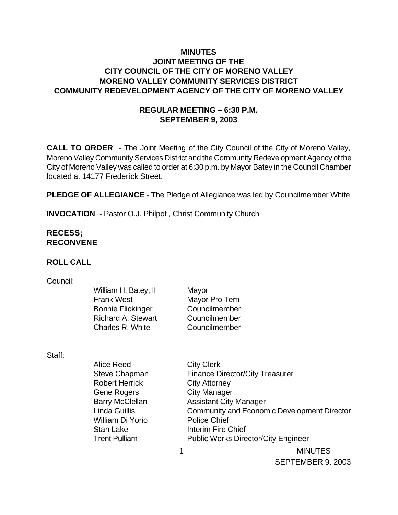## **MINUTES JOINT MEETING OF THE CITY COUNCIL OF THE CITY OF MORENO VALLEY MORENO VALLEY COMMUNITY SERVICES DISTRICT COMMUNITY REDEVELOPMENT AGENCY OF THE CITY OF MORENO VALLEY**

## **REGULAR MEETING – 6:30 P.M. SEPTEMBER 9, 2003**

**CALL TO ORDER** - The Joint Meeting of the City Council of the City of Moreno Valley, Moreno Valley Community Services District and the Community Redevelopment Agency of the City of Moreno Valley was called to order at 6:30 p.m. by Mayor Batey in the Council Chamber located at 14177 Frederick Street.

**PLEDGE OF ALLEGIANCE** - The Pledge of Allegiance was led by Councilmember White

**INVOCATION** - Pastor O.J. Philpot , Christ Community Church

## **RECESS; RECONVENE**

#### **ROLL CALL**

#### Council:

| William H. Batey, II      | Mayor         |
|---------------------------|---------------|
| <b>Frank West</b>         | Mayor Pro Tem |
| <b>Bonnie Flickinger</b>  | Councilmember |
| <b>Richard A. Stewart</b> | Councilmember |
| Charles R. White          | Councilmember |
|                           |               |

Staff:

| <b>Alice Reed</b>      | <b>City Clerk</b>             |                                                    |  |
|------------------------|-------------------------------|----------------------------------------------------|--|
| <b>Steve Chapman</b>   |                               | <b>Finance Director/City Treasurer</b>             |  |
| <b>Robert Herrick</b>  | <b>City Attorney</b>          |                                                    |  |
| <b>Gene Rogers</b>     | <b>City Manager</b>           |                                                    |  |
| <b>Barry McClellan</b> | <b>Assistant City Manager</b> |                                                    |  |
| <b>Linda Guillis</b>   |                               | <b>Community and Economic Development Director</b> |  |
| William Di Yorio       | <b>Police Chief</b>           |                                                    |  |
| <b>Stan Lake</b>       | Interim Fire Chief            |                                                    |  |
| <b>Trent Pulliam</b>   |                               | <b>Public Works Director/City Engineer</b>         |  |
|                        |                               | <b>MINUTES</b>                                     |  |

SEPTEMBER 9. 2003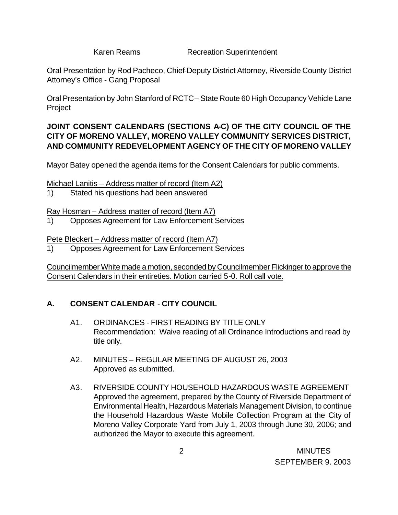Karen Reams **Recreation Superintendent** 

Oral Presentation by Rod Pacheco, Chief-Deputy District Attorney, Riverside County District Attorney's Office - Gang Proposal

Oral Presentation by John Stanford of RCTC – State Route 60 High Occupancy Vehicle Lane Project

## **JOINT CONSENT CALENDARS (SECTIONS A-C) OF THE CITY COUNCIL OF THE CITY OF MORENO VALLEY, MORENO VALLEY COMMUNITY SERVICES DISTRICT, AND COMMUNITY REDEVELOPMENT AGENCY OF THE CITY OF MORENO VALLEY**

Mayor Batey opened the agenda items for the Consent Calendars for public comments.

Michael Lanitis – Address matter of record (Item A2)

1) Stated his questions had been answered

Ray Hosman – Address matter of record (Item A7)

1) Opposes Agreement for Law Enforcement Services

Pete Bleckert – Address matter of record (Item A7)

1) Opposes Agreement for Law Enforcement Services

Councilmember White made a motion, seconded by Councilmember Flickinger to approve the Consent Calendars in their entireties. Motion carried 5-0. Roll call vote.

# **A. CONSENT CALENDAR** - **CITY COUNCIL**

- A1. ORDINANCES FIRST READING BY TITLE ONLY Recommendation: Waive reading of all Ordinance Introductions and read by title only.
- A2. MINUTES REGULAR MEETING OF AUGUST 26, 2003 Approved as submitted.
- A3. RIVERSIDE COUNTY HOUSEHOLD HAZARDOUS WASTE AGREEMENT Approved the agreement, prepared by the County of Riverside Department of Environmental Health, Hazardous Materials Management Division, to continue the Household Hazardous Waste Mobile Collection Program at the City of Moreno Valley Corporate Yard from July 1, 2003 through June 30, 2006; and authorized the Mayor to execute this agreement.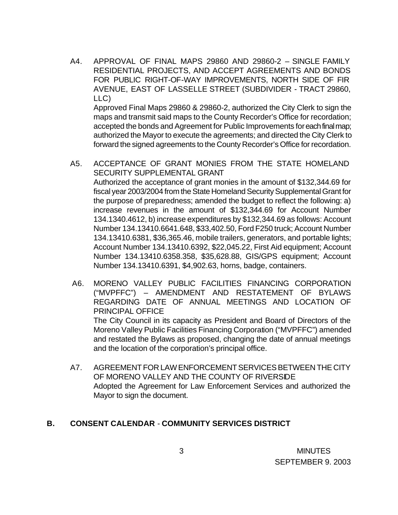A4. APPROVAL OF FINAL MAPS 29860 AND 29860-2 – SINGLE FAMILY RESIDENTIAL PROJECTS, AND ACCEPT AGREEMENTS AND BONDS FOR PUBLIC RIGHT-OF-WAY IMPROVEMENTS, NORTH SIDE OF FIR AVENUE, EAST OF LASSELLE STREET (SUBDIVIDER - TRACT 29860, LLC)

Approved Final Maps 29860 & 29860-2, authorized the City Clerk to sign the maps and transmit said maps to the County Recorder's Office for recordation; accepted the bonds and Agreement for Public Improvements for each final map; authorized the Mayor to execute the agreements; and directed the City Clerk to forward the signed agreements to the County Recorder's Office for recordation.

- A5. ACCEPTANCE OF GRANT MONIES FROM THE STATE HOMELAND SECURITY SUPPLEMENTAL GRANT Authorized the acceptance of grant monies in the amount of \$132,344.69 for fiscal year 2003/2004 from the State Homeland Security Supplemental Grant for the purpose of preparedness; amended the budget to reflect the following: a) increase revenues in the amount of \$132,344.69 for Account Number 134.1340.4612, b) increase expenditures by \$132,344.69 as follows: Account Number 134.13410.6641.648, \$33,402.50, Ford F250 truck; Account Number 134.13410.6381, \$36,365.46, mobile trailers, generators, and portable lights; Account Number 134.13410.6392, \$22,045.22, First Aid equipment; Account Number 134.13410.6358.358, \$35,628.88, GIS/GPS equipment; Account Number 134.13410.6391, \$4,902.63, horns, badge, containers.
- A6. MORENO VALLEY PUBLIC FACILITIES FINANCING CORPORATION ("MVPFFC") – AMENDMENT AND RESTATEMENT OF BYLAWS REGARDING DATE OF ANNUAL MEETINGS AND LOCATION OF PRINCIPAL OFFICE The City Council in its capacity as President and Board of Directors of the Moreno Valley Public Facilities Financing Corporation ("MVPFFC") amended and restated the Bylaws as proposed, changing the date of annual meetings and the location of the corporation's principal office.
- A7. AGREEMENT FOR LAW ENFORCEMENT SERVICES BETWEEN THE CITY OF MORENO VALLEY AND THE COUNTY OF RIVERSIDE Adopted the Agreement for Law Enforcement Services and authorized the Mayor to sign the document.

## **B. CONSENT CALENDAR** - **COMMUNITY SERVICES DISTRICT**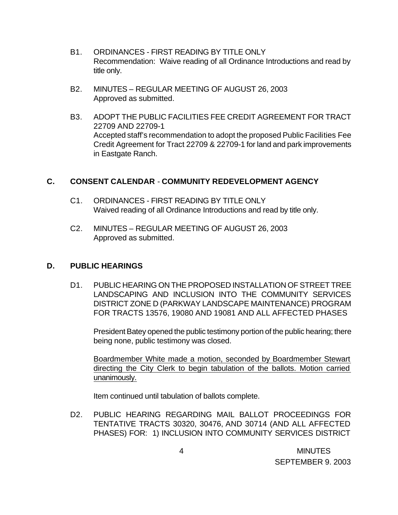- B1. ORDINANCES FIRST READING BY TITLE ONLY Recommendation: Waive reading of all Ordinance Introductions and read by title only.
- B2. MINUTES REGULAR MEETING OF AUGUST 26, 2003 Approved as submitted.
- B3. ADOPT THE PUBLIC FACILITIES FEE CREDIT AGREEMENT FOR TRACT 22709 AND 22709-1 Accepted staff's recommendation to adopt the proposed Public Facilities Fee Credit Agreement for Tract 22709 & 22709-1 for land and park improvements in Eastgate Ranch.

## **C. CONSENT CALENDAR** - **COMMUNITY REDEVELOPMENT AGENCY**

- C1. ORDINANCES FIRST READING BY TITLE ONLY Waived reading of all Ordinance Introductions and read by title only.
- C2. MINUTES REGULAR MEETING OF AUGUST 26, 2003 Approved as submitted.

#### **D. PUBLIC HEARINGS**

D1. PUBLIC HEARING ON THE PROPOSED INSTALLATION OF STREET TREE LANDSCAPING AND INCLUSION INTO THE COMMUNITY SERVICES DISTRICT ZONE D (PARKWAY LANDSCAPE MAINTENANCE) PROGRAM FOR TRACTS 13576, 19080 AND 19081 AND ALL AFFECTED PHASES

President Batey opened the public testimony portion of the public hearing; there being none, public testimony was closed.

Boardmember White made a motion, seconded by Boardmember Stewart directing the City Clerk to begin tabulation of the ballots. Motion carried unanimously.

Item continued until tabulation of ballots complete.

D2. PUBLIC HEARING REGARDING MAIL BALLOT PROCEEDINGS FOR TENTATIVE TRACTS 30320, 30476, AND 30714 (AND ALL AFFECTED PHASES) FOR: 1) INCLUSION INTO COMMUNITY SERVICES DISTRICT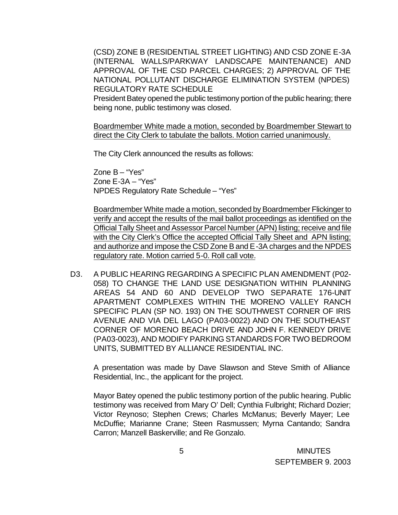(CSD) ZONE B (RESIDENTIAL STREET LIGHTING) AND CSD ZONE E-3A (INTERNAL WALLS/PARKWAY LANDSCAPE MAINTENANCE) AND APPROVAL OF THE CSD PARCEL CHARGES; 2) APPROVAL OF THE NATIONAL POLLUTANT DISCHARGE ELIMINATION SYSTEM (NPDES) REGULATORY RATE SCHEDULE

President Batey opened the public testimony portion of the public hearing; there being none, public testimony was closed.

Boardmember White made a motion, seconded by Boardmember Stewart to direct the City Clerk to tabulate the ballots. Motion carried unanimously.

The City Clerk announced the results as follows:

Zone B – "Yes" Zone E-3A – "Yes" NPDES Regulatory Rate Schedule – "Yes"

Boardmember White made a motion, seconded by Boardmember Flickinger to verify and accept the results of the mail ballot proceedings as identified on the Official Tally Sheet and Assessor Parcel Number (APN) listing; receive and file with the City Clerk's Office the accepted Official Tally Sheet and APN listing; and authorize and impose the CSD Zone B and E-3A charges and the NPDES regulatory rate. Motion carried 5-0. Roll call vote.

D3. A PUBLIC HEARING REGARDING A SPECIFIC PLAN AMENDMENT (P02- 058) TO CHANGE THE LAND USE DESIGNATION WITHIN PLANNING AREAS 54 AND 60 AND DEVELOP TWO SEPARATE 176-UNIT APARTMENT COMPLEXES WITHIN THE MORENO VALLEY RANCH SPECIFIC PLAN (SP NO. 193) ON THE SOUTHWEST CORNER OF IRIS AVENUE AND VIA DEL LAGO (PA03-0022) AND ON THE SOUTHEAST CORNER OF MORENO BEACH DRIVE AND JOHN F. KENNEDY DRIVE (PA03-0023), AND MODIFY PARKING STANDARDS FOR TWO BEDROOM UNITS, SUBMITTED BY ALLIANCE RESIDENTIAL INC.

A presentation was made by Dave Slawson and Steve Smith of Alliance Residential, Inc., the applicant for the project.

Mayor Batey opened the public testimony portion of the public hearing. Public testimony was received from Mary O' Dell; Cynthia Fulbright; Richard Dozier; Victor Reynoso; Stephen Crews; Charles McManus; Beverly Mayer; Lee McDuffie; Marianne Crane; Steen Rasmussen; Myrna Cantando; Sandra Carron; Manzell Baskerville; and Re Gonzalo.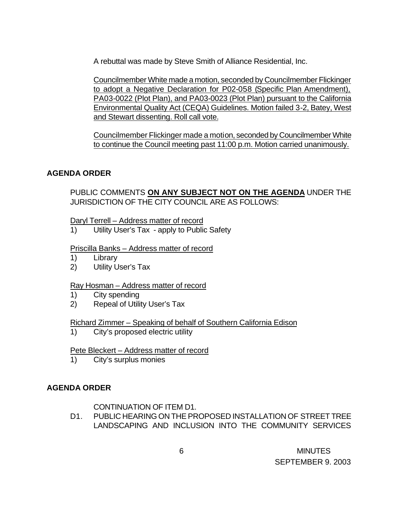A rebuttal was made by Steve Smith of Alliance Residential, Inc.

Councilmember White made a motion, seconded by Councilmember Flickinger to adopt a Negative Declaration for P02-058 (Specific Plan Amendment), PA03-0022 (Plot Plan), and PA03-0023 (Plot Plan) pursuant to the California Environmental Quality Act (CEQA) Guidelines. Motion failed 3-2, Batey, West and Stewart dissenting. Roll call vote.

Councilmember Flickinger made a motion, seconded by Councilmember White to continue the Council meeting past 11:00 p.m. Motion carried unanimously.

## **AGENDA ORDER**

PUBLIC COMMENTS **ON ANY SUBJECT NOT ON THE AGENDA** UNDER THE JURISDICTION OF THE CITY COUNCIL ARE AS FOLLOWS:

#### Daryl Terrell – Address matter of record

1) Utility User's Tax - apply to Public Safety

## Priscilla Banks – Address matter of record

- 1) Library
- 2) Utility User's Tax

## Ray Hosman – Address matter of record

- 1) City spending
- 2) Repeal of Utility User's Tax

## Richard Zimmer – Speaking of behalf of Southern California Edison

1) City's proposed electric utility

#### Pete Bleckert – Address matter of record

1) City's surplus monies

## **AGENDA ORDER**

## CONTINUATION OF ITEM D1.

D1. PUBLIC HEARING ON THE PROPOSED INSTALLATION OF STREET TREE LANDSCAPING AND INCLUSION INTO THE COMMUNITY SERVICES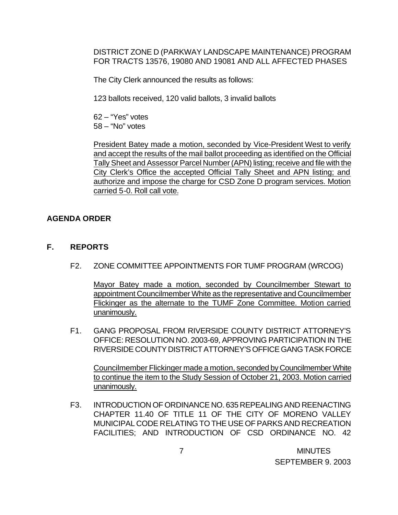DISTRICT ZONE D (PARKWAY LANDSCAPE MAINTENANCE) PROGRAM FOR TRACTS 13576, 19080 AND 19081 AND ALL AFFECTED PHASES

The City Clerk announced the results as follows:

123 ballots received, 120 valid ballots, 3 invalid ballots

62 – "Yes" votes 58 – "No" votes

President Batey made a motion, seconded by Vice-President West to verify and accept the results of the mail ballot proceeding as identified on the Official Tally Sheet and Assessor Parcel Number (APN) listing; receive and file with the City Clerk's Office the accepted Official Tally Sheet and APN listing; and authorize and impose the charge for CSD Zone D program services. Motion carried 5-0. Roll call vote.

## **AGENDA ORDER**

- **F. REPORTS**
	- F2. ZONE COMMITTEE APPOINTMENTS FOR TUMF PROGRAM (WRCOG)

Mayor Batey made a motion, seconded by Councilmember Stewart to appointment Councilmember White as the representative and Councilmember Flickinger as the alternate to the TUMF Zone Committee. Motion carried unanimously.

F1. GANG PROPOSAL FROM RIVERSIDE COUNTY DISTRICT ATTORNEY'S OFFICE: RESOLUTION NO. 2003-69, APPROVING PARTICIPATION IN THE RIVERSIDE COUNTY DISTRICT ATTORNEY'S OFFICE GANG TASK FORCE

Councilmember Flickinger made a motion, seconded by Councilmember White to continue the item to the Study Session of October 21, 2003. Motion carried unanimously.

F3. INTRODUCTION OF ORDINANCE NO. 635 REPEALING AND REENACTING CHAPTER 11.40 OF TITLE 11 OF THE CITY OF MORENO VALLEY MUNICIPAL CODE RELATING TO THE USE OF PARKS AND RECREATION FACILITIES; AND INTRODUCTION OF CSD ORDINANCE NO. 42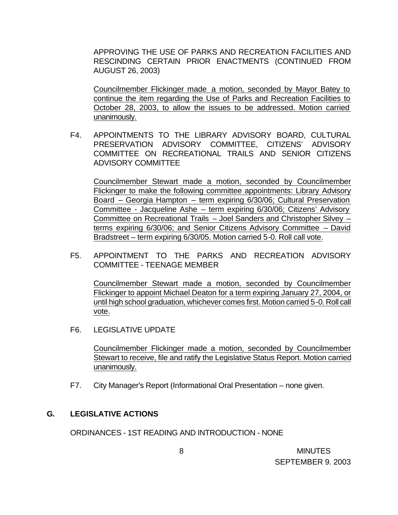APPROVING THE USE OF PARKS AND RECREATION FACILITIES AND RESCINDING CERTAIN PRIOR ENACTMENTS (CONTINUED FROM AUGUST 26, 2003)

Councilmember Flickinger made a motion, seconded by Mayor Batey to continue the item regarding the Use of Parks and Recreation Facilities to October 28, 2003, to allow the issues to be addressed. Motion carried unanimously.

F4. APPOINTMENTS TO THE LIBRARY ADVISORY BOARD, CULTURAL PRESERVATION ADVISORY COMMITTEE, CITIZENS' ADVISORY COMMITTEE ON RECREATIONAL TRAILS AND SENIOR CITIZENS ADVISORY COMMITTEE

Councilmember Stewart made a motion, seconded by Councilmember Flickinger to make the following committee appointments: Library Advisory Board – Georgia Hampton – term expiring 6/30/06; Cultural Preservation Committee - Jacqueline Ashe – term expiring 6/30/06; Citizens' Advisory Committee on Recreational Trails – Joel Sanders and Christopher Silvey – terms expiring 6/30/06; and Senior Citizens Advisory Committee – David Bradstreet – term expiring 6/30/05. Motion carried 5-0. Roll call vote.

F5. APPOINTMENT TO THE PARKS AND RECREATION ADVISORY COMMITTEE - TEENAGE MEMBER

Councilmember Stewart made a motion, seconded by Councilmember Flickinger to appoint Michael Deaton for a term expiring January 27, 2004, or until high school graduation, whichever comes first. Motion carried 5-0. Roll call vote.

F6. LEGISLATIVE UPDATE

Councilmember Flickinger made a motion, seconded by Councilmember Stewart to receive, file and ratify the Legislative Status Report. Motion carried unanimously.

F7. City Manager's Report (Informational Oral Presentation – none given.

#### **G. LEGISLATIVE ACTIONS**

ORDINANCES - 1ST READING AND INTRODUCTION - NONE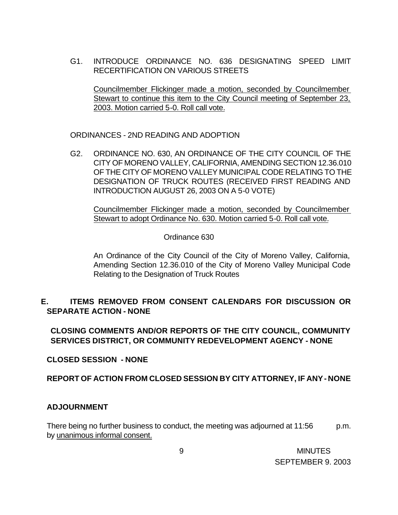G1. INTRODUCE ORDINANCE NO. 636 DESIGNATING SPEED LIMIT RECERTIFICATION ON VARIOUS STREETS

Councilmember Flickinger made a motion, seconded by Councilmember Stewart to continue this item to the City Council meeting of September 23, 2003. Motion carried 5-0. Roll call vote.

ORDINANCES - 2ND READING AND ADOPTION

G2. ORDINANCE NO. 630, AN ORDINANCE OF THE CITY COUNCIL OF THE CITY OF MORENO VALLEY, CALIFORNIA, AMENDING SECTION 12.36.010 OF THE CITY OF MORENO VALLEY MUNICIPAL CODE RELATING TO THE DESIGNATION OF TRUCK ROUTES (RECEIVED FIRST READING AND INTRODUCTION AUGUST 26, 2003 ON A 5-0 VOTE)

Councilmember Flickinger made a motion, seconded by Councilmember Stewart to adopt Ordinance No. 630. Motion carried 5-0. Roll call vote.

Ordinance 630

An Ordinance of the City Council of the City of Moreno Valley, California, Amending Section 12.36.010 of the City of Moreno Valley Municipal Code Relating to the Designation of Truck Routes

## **E. ITEMS REMOVED FROM CONSENT CALENDARS FOR DISCUSSION OR SEPARATE ACTION - NONE**

**CLOSING COMMENTS AND/OR REPORTS OF THE CITY COUNCIL, COMMUNITY SERVICES DISTRICT, OR COMMUNITY REDEVELOPMENT AGENCY - NONE**

**CLOSED SESSION - NONE**

#### **REPORT OF ACTION FROM CLOSED SESSION BY CITY ATTORNEY, IF ANY - NONE**

#### **ADJOURNMENT**

There being no further business to conduct, the meeting was adjourned at 11:56 p.m. by unanimous informal consent.

 9 MINUTES SEPTEMBER 9. 2003